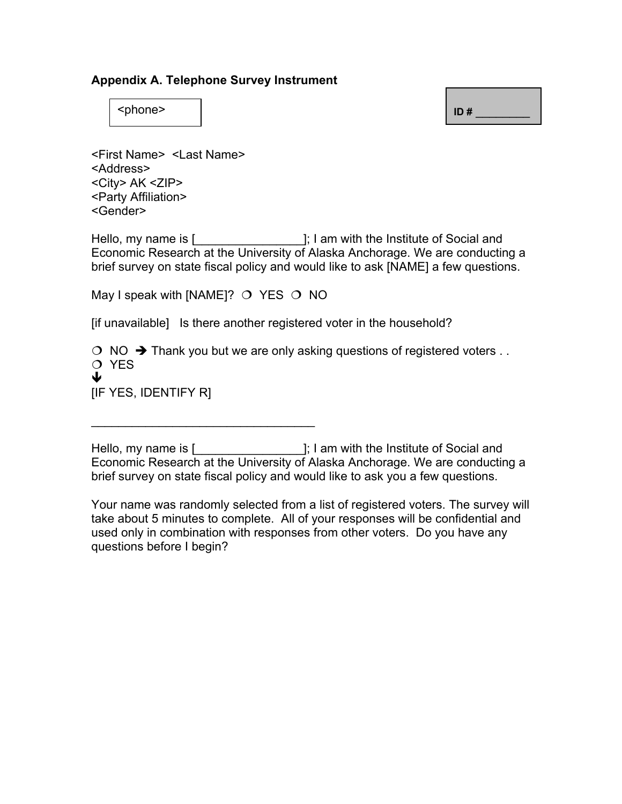## **Appendix A. Telephone Survey Instrument**

<phone> **ID #** \_\_\_\_\_\_\_\_

<First Name> <Last Name> <Address> <City> AK <ZIP> <Party Affiliation> <Gender>

Hello, my name is [1, 1 am with the Institute of Social and Economic Research at the University of Alaska Anchorage. We are conducting a brief survey on state fiscal policy and would like to ask [NAME] a few questions.

May I speak with [NAME]?  $\circ$  YES  $\circ$  NO

 $\mathcal{L}_\text{max}$  , where  $\mathcal{L}_\text{max}$  is the set of  $\mathcal{L}_\text{max}$ 

[if unavailable] Is there another registered voter in the household?

 $\circ$  NO  $\rightarrow$  Thank you but we are only asking questions of registered voters ... O YES Ð [IF YES, IDENTIFY R]

Hello, my name is [**with** carries and is a mode of Social and intervals and intervals and intervals and intervals and intervals and intervals and intervals and intervals and intervals and intervals and intervals and interv Economic Research at the University of Alaska Anchorage. We are conducting a brief survey on state fiscal policy and would like to ask you a few questions.

Your name was randomly selected from a list of registered voters. The survey will take about 5 minutes to complete. All of your responses will be confidential and used only in combination with responses from other voters. Do you have any questions before I begin?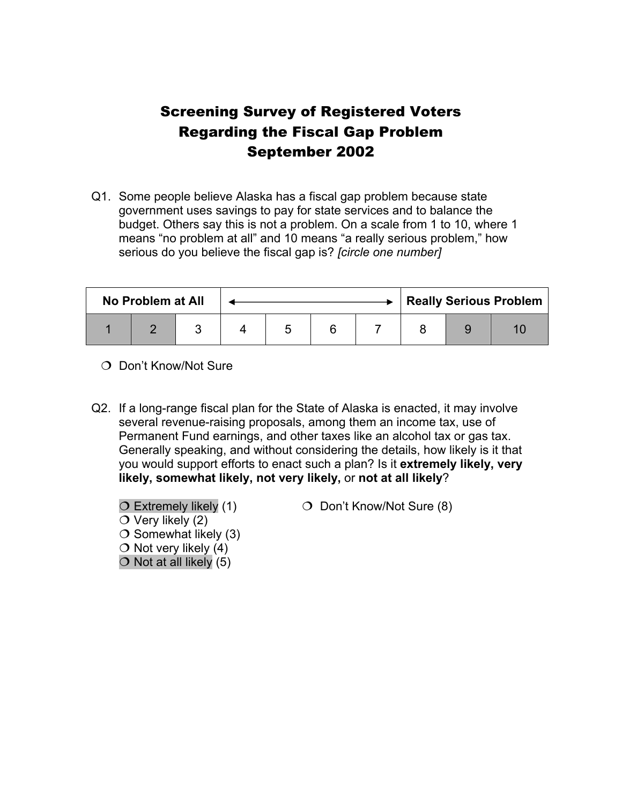## Screening Survey of Registered Voters Regarding the Fiscal Gap Problem September 2002

Q1. Some people believe Alaska has a fiscal gap problem because state government uses savings to pay for state services and to balance the budget. Others say this is not a problem. On a scale from 1 to 10, where 1 means "no problem at all" and 10 means "a really serious problem," how serious do you believe the fiscal gap is? *[circle one number]* 

| No Problem at All |  |  |  |  |  |  | <b>Really Serious Problem</b> |  |  |  |
|-------------------|--|--|--|--|--|--|-------------------------------|--|--|--|
|                   |  |  |  |  |  |  |                               |  |  |  |

- O Don't Know/Not Sure
- Q2. If a long-range fiscal plan for the State of Alaska is enacted, it may involve several revenue-raising proposals, among them an income tax, use of Permanent Fund earnings, and other taxes like an alcohol tax or gas tax. Generally speaking, and without considering the details, how likely is it that you would support efforts to enact such a plan? Is it **extremely likely, very likely, somewhat likely, not very likely,** or **not at all likely**?
	- $\circ$  Very likely (2)  $\bigcirc$  Somewhat likely (3)  $\bigcirc$  Not very likely (4)
	-
	- $\bigcirc$  Not at all likely (5)
	- $\overline{O}$  Extremely likely (1)  $\overline{O}$  Don't Know/Not Sure (8)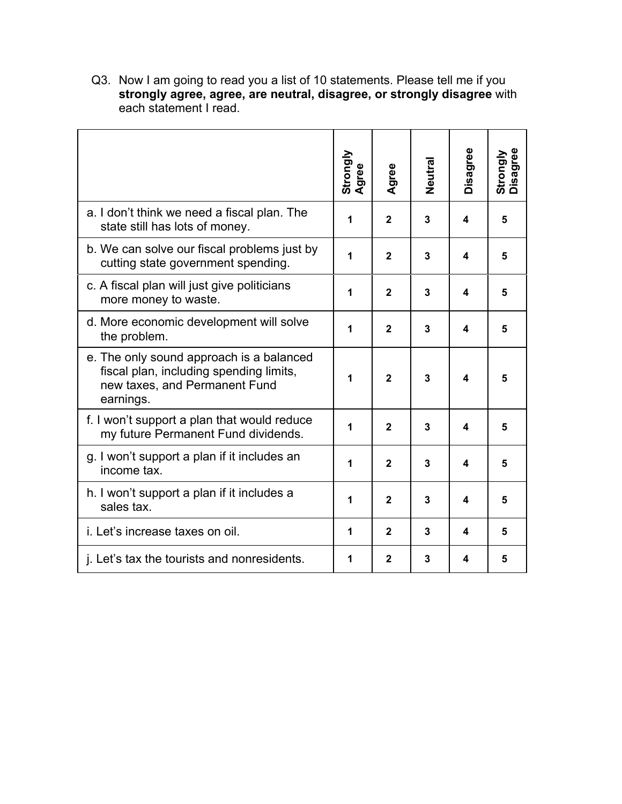Q3. Now I am going to read you a list of 10 statements. Please tell me if you **strongly agree, agree, are neutral, disagree, or strongly disagree** with each statement I read.

|                                                                                                                                   | Strongly<br>Agree | Agree        | Neutral | Disagree | <b>Strongly</b><br>Disagree |
|-----------------------------------------------------------------------------------------------------------------------------------|-------------------|--------------|---------|----------|-----------------------------|
| a. I don't think we need a fiscal plan. The<br>state still has lots of money.                                                     | 1                 | $\mathbf{2}$ | 3       | 4        | 5                           |
| b. We can solve our fiscal problems just by<br>cutting state government spending.                                                 | 1                 | $\mathbf{2}$ | 3       | 4        | 5                           |
| c. A fiscal plan will just give politicians<br>more money to waste.                                                               | 1                 | $\mathbf{2}$ | 3       | 4        | 5                           |
| d. More economic development will solve<br>the problem.                                                                           | 1                 | $\mathbf{2}$ | 3       | 4        | 5                           |
| e. The only sound approach is a balanced<br>fiscal plan, including spending limits,<br>new taxes, and Permanent Fund<br>earnings. | 1                 | $\mathbf{2}$ | 3       | 4        | 5                           |
| f. I won't support a plan that would reduce<br>my future Permanent Fund dividends.                                                |                   | $\mathbf{2}$ | 3       | 4        | 5                           |
| g. I won't support a plan if it includes an<br>income tax.                                                                        |                   | $\mathbf{2}$ | 3       | 4        | 5                           |
| h. I won't support a plan if it includes a<br>sales tax.                                                                          |                   | $\mathbf{2}$ | 3       | 4        | 5                           |
| <i>i.</i> Let's increase taxes on oil.                                                                                            |                   | $\mathbf{2}$ | 3       | 4        | 5                           |
| j. Let's tax the tourists and nonresidents.                                                                                       |                   | $\mathbf{2}$ | 3       | 4        | 5                           |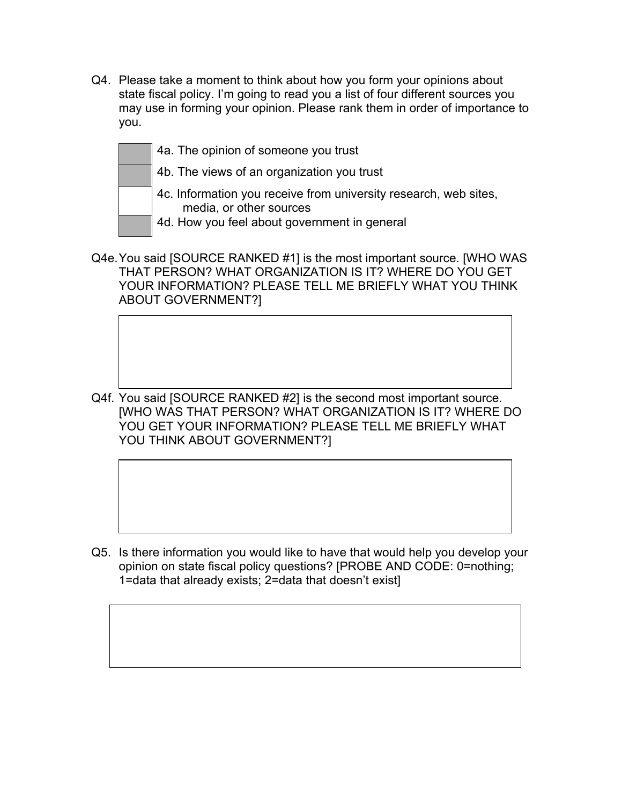Q4. Please take a moment to think about how you form your opinions about state fiscal policy. I'm going to read you a list of four different sources you may use in forming your opinion. Please rank them in order of importance to you.

| 4a. The opinion of someone you trust                                                                                                        |
|---------------------------------------------------------------------------------------------------------------------------------------------|
| 4b. The views of an organization you trust                                                                                                  |
| 4c. Information you receive from university research, web sites,<br>media, or other sources<br>4d. How you feel about government in general |

Q4e. You said [SOURCE RANKED #1] is the most important source. [WHO WAS THAT PERSON? WHAT ORGANIZATION IS IT? WHERE DO YOU GET YOUR INFORMATION? PLEASE TELL ME BRIEFLY WHAT YOU THINK ABOUT GOVERNMENT?]

Q4f. You said [SOURCE RANKED #2] is the second most important source. [WHO WAS THAT PERSON? WHAT ORGANIZATION IS IT? WHERE DO YOU GET YOUR INFORMATION? PLEASE TELL ME BRIEFLY WHAT YOU THINK ABOUT GOVERNMENT?]

Q5. Is there information you would like to have that would help you develop your opinion on state fiscal policy questions? [PROBE AND CODE: 0=nothing; 1=data that already exists; 2=data that doesn't exist]